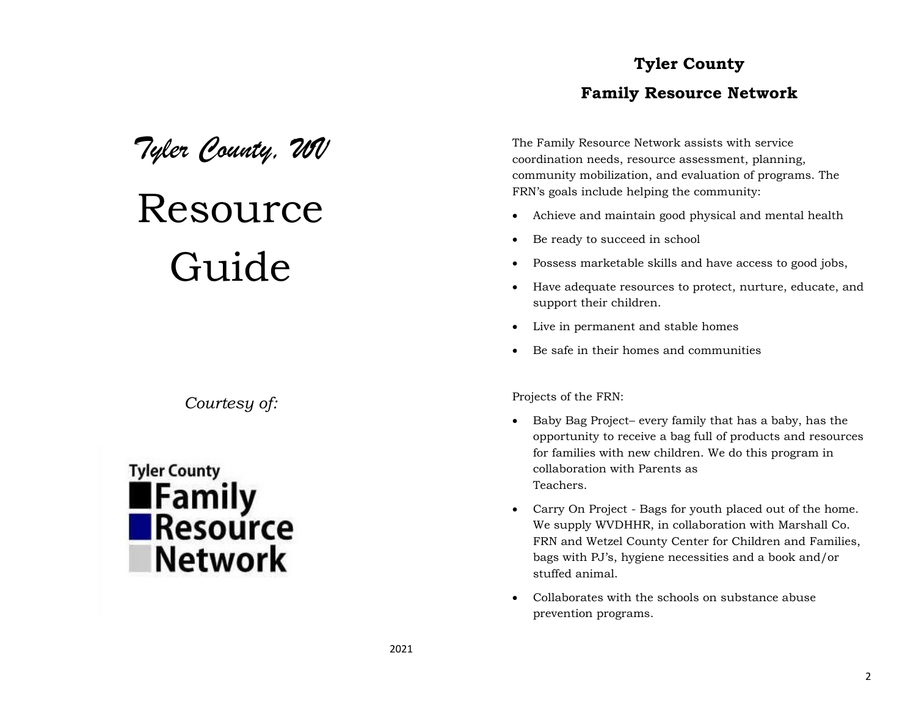## *Tyler County, WV*

## Resource Guide

*Courtesy of:*



## **Tyler County Family Resource Network**

The Family Resource Network assists with service coordination needs, resource assessment, planning, community mobilization, and evaluation of programs. The FRN's goals include helping the community:

- Achieve and maintain good physical and mental health
- Be ready to succeed in school
- Possess marketable skills and have access to good jobs,
- Have adequate resources to protect, nurture, educate, and support their children.
- Live in permanent and stable homes
- Be safe in their homes and communities

Projects of the FRN:

- Baby Bag Project– every family that has a baby, has the opportunity to receive a bag full of products and resources for families with new children. We do this program in collaboration with Parents as Teachers.
- Carry On Project Bags for youth placed out of the home. We supply WVDHHR, in collaboration with Marshall Co. FRN and Wetzel County Center for Children and Families, bags with PJ's, hygiene necessities and a book and/or stuffed animal.
- Collaborates with the schools on substance abuse prevention programs.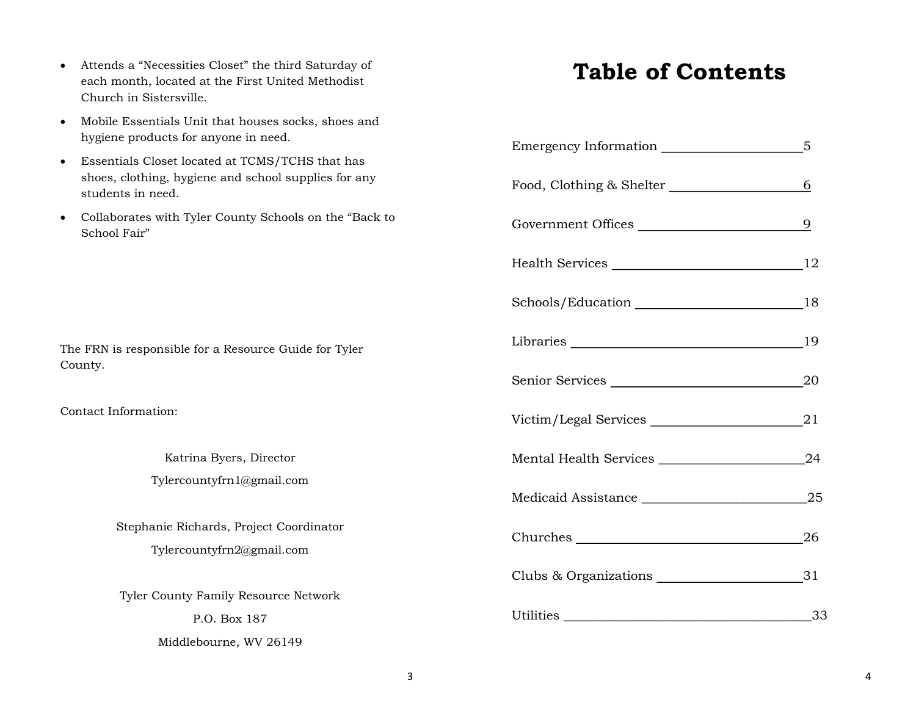- Attends a "Necessities Closet" the third Saturday of each month, located at the First United Methodist Church in Sistersville.
- Mobile Essentials Unit that houses socks, shoes and hygiene products for anyone in need.
- Essentials Closet located at TCMS/TCHS that has shoes, clothing, hygiene and school supplies for any students in need.
- Collaborates with Tyler County Schools on the "Back to School Fair"

The FRN is responsible for a Resource Guide for Tyler County.

Contact Information:

Katrina Byers, Director Tylercountyfrn1@gmail.com

Stephanie Richards, Project Coordinator Tylercountyfrn2@gmail.com

Tyler County Family Resource Network P.O. Box 187

Middlebourne, WV 26149

## **Table of Contents**

|                          | 6              |
|--------------------------|----------------|
| Government Offices       | $\overline{9}$ |
|                          |                |
|                          |                |
| Libraries 19             |                |
|                          |                |
| Victim/Legal Services 21 |                |
|                          |                |
|                          |                |
|                          |                |
|                          |                |
|                          |                |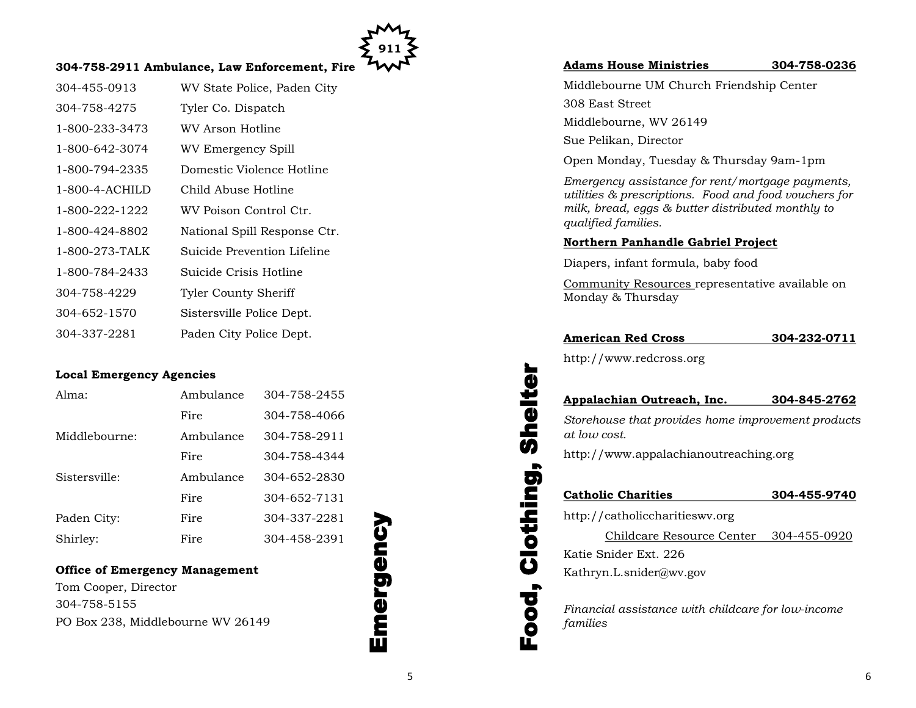

## **304-758-2911 Ambulance, Law Enforcement, Fire**

| 304-455-0913   | WV State Police, Paden City  |
|----------------|------------------------------|
| 304-758-4275   | Tyler Co. Dispatch           |
| 1-800-233-3473 | WV Arson Hotline             |
| 1-800-642-3074 | WV Emergency Spill           |
| 1-800-794-2335 | Domestic Violence Hotline    |
| 1-800-4-ACHILD | Child Abuse Hotline          |
| 1-800-222-1222 | WV Poison Control Ctr.       |
| 1-800-424-8802 | National Spill Response Ctr. |
| 1-800-273-TALK | Suicide Prevention Lifeline  |
| 1-800-784-2433 | Suicide Crisis Hotline       |
| 304-758-4229   | <b>Tyler County Sheriff</b>  |
| 304-652-1570   | Sistersville Police Dept.    |
| 304-337-2281   | Paden City Police Dept.      |

## **Local Emergency Agencies**

| Alma:         | Ambulance | 304-758-2455 |
|---------------|-----------|--------------|
|               | Fire      | 304-758-4066 |
| Middlebourne: | Ambulance | 304-758-2911 |
|               | Fire      | 304-758-4344 |
| Sistersville: | Ambulance | 304-652-2830 |
|               | Fire      | 304-652-7131 |
| Paden City:   | Fire      | 304-337-2281 |
| Shirley:      | Fire      | 304-458-2391 |

## **Office of Emergency Management**

Tom Cooper, Director 304-758-5155 PO Box 238, Middlebourne WV 26149



## **Adams House Ministries 304-758-0236**

Middlebourne UM Church Friendship Center 308 East Street Middlebourne, WV 26149 Sue Pelikan, Director

Open Monday, Tuesday & Thursday 9am-1pm

*Emergency assistance for rent/mortgage payments, utilities & prescriptions. Food and food vouchers for milk, bread, eggs & butter distributed monthly to qualified families.* 

## **Northern Panhandle Gabriel Project**

Diapers, infant formula, baby food

Community Resources representative available on Monday & Thursday

## **American Red Cross 304-232-0711**

http://www.redcross.org

## **Appalachian Outreach, Inc. 304-845-2762**

*Storehouse that provides home improvement products at low cost.*

http://www.appalachianoutreaching.org

## **Catholic Charities 304-455-9740**

http://catholiccharitieswv.org

Childcare Resource Center 304-455-0920 Katie Snider Ext. 226

Kathryn.L.snider@wv.gov

Food, Clothing, Shelter

Clothing,

**boo** 

Shelte

*Financial assistance with childcare for low-income families*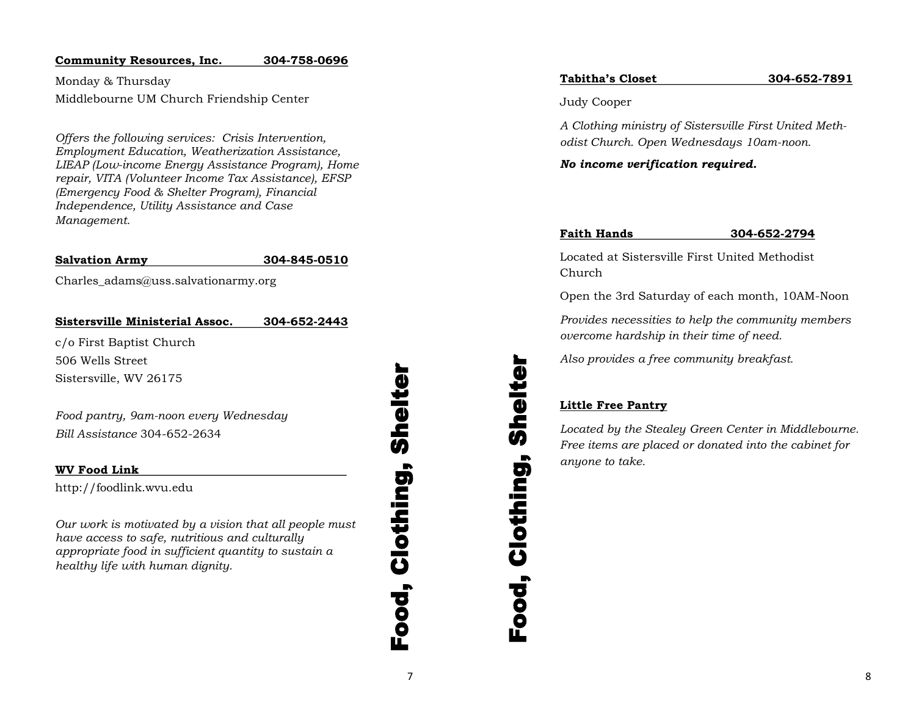## **Community Resources, Inc. 304-758-0696**

Monday & Thursday Middlebourne UM Church Friendship Center

*Offers the following services: Crisis Intervention, Employment Education, Weatherization Assistance, LIEAP (Low-income Energy Assistance Program), Home repair, VITA (Volunteer Income Tax Assistance), EFSP (Emergency Food & Shelter Program), Financial Independence, Utility Assistance and Case Management.*

## **Salvation Army 304-845-0510**

Charles adams@uss.salvationarmy.org

## **Sistersville Ministerial Assoc. 304-652-2443**

c/o First Baptist Church 506 Wells Street Sistersville, WV 26175

*Food pantry, 9am-noon every Wednesday Bill Assistance* 304-652-2634

## **WV Food Link**

http://foodlink.wvu.edu

*Our work is motivated by a vision that all people must have access to safe, nutritious and culturally appropriate food in sufficient quantity to sustain a healthy life with human dignity.*

7Food, Clothing, Shelter Ō Je<br>She Clothing,  $\overline{\textbf{a}}$ 

## **Tabitha's Closet 304-652-7891**

Judy Cooper

*A Clothing ministry of Sistersville First United Methodist Church. Open Wednesdays 10am-noon.* 

*No income verification required.*

## **Faith Hands 304-652-2794**

Located at Sistersville First United Methodist Church

Open the 3rd Saturday of each month, 10AM-Noon

*Provides necessities to help the community members overcome hardship in their time of need.* 

*Also provides a free community breakfast.* 

## **Little Free Pantry**

Food, Clothing, Shelter

Food,

Clothing, Shelte

*Located by the Stealey Green Center in Middlebourne. Free items are placed or donated into the cabinet for anyone to take.*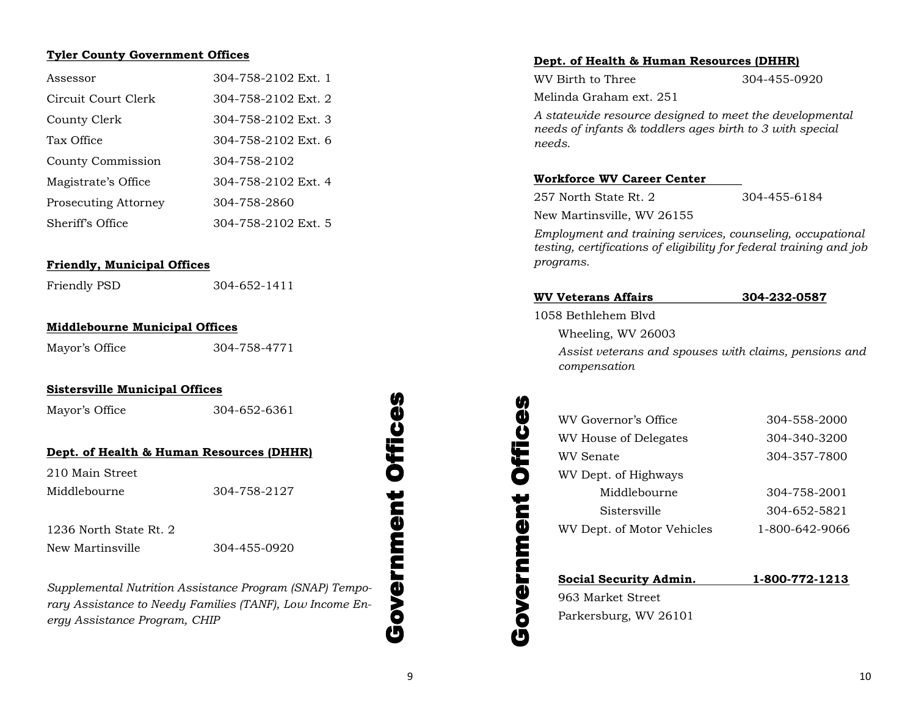## **Tyler County Government Offices**

| Assessor                    | 304-758-2102 Ext. 1 |
|-----------------------------|---------------------|
| Circuit Court Clerk         | 304-758-2102 Ext. 2 |
| County Clerk                | 304-758-2102 Ext. 3 |
| Tax Office                  | 304-758-2102 Ext. 6 |
| County Commission           | 304-758-2102        |
| Magistrate's Office         | 304-758-2102 Ext. 4 |
| <b>Prosecuting Attorney</b> | 304-758-2860        |
| Sheriff's Office            | 304-758-2102 Ext. 5 |

## **Friendly, Municipal Offices**

Friendly PSD 304-652-1411

## **Middlebourne Municipal Offices**

Mayor's Office 304-758-4771

## **Sistersville Municipal Offices**

Mayor's Office 304-652-6361

## **Dept. of Health & Human Resources (DHHR)**

210 Main Street

Middlebourne 304-758-2127

1236 North State Rt. 2 New Martinsville 304-455-0920

*Supplemental Nutrition Assistance Program (SNAP) Temporary Assistance to Needy Families (TANF), Low Income Energy Assistance Program, CHIP*

## Government Offices ŋ **Office** Government

## **Dept. of Health & Human Resources (DHHR)**

| WV Birth to Three       | 304-455-0920 |
|-------------------------|--------------|
| Melinda Graham ext. 251 |              |

*A statewide resource designed to meet the developmental needs of infants & toddlers ages birth to 3 with special needs.* 

## **Workforce WV Career Center**

257 North State Rt. 2 304-455-6184

New Martinsville, WV 26155

*Employment and training services, counseling, occupational testing, certifications of eligibility for federal training and job programs.*

| WV Veterans Affairs |           | 304-232-0587 |
|---------------------|-----------|--------------|
| 10F0 F111           | <b>DI</b> |              |

1058 Bethlehem Blvd

Government Offices

overnment Offi

凸

**990** 

Wheeling, WV 26003

*Assist veterans and spouses with claims, pensions and compensation*

| WV Governor's Office       | 304-558-2000   |
|----------------------------|----------------|
| WV House of Delegates      | 304-340-3200   |
| WV Senate                  | 304-357-7800   |
| WV Dept. of Highways       |                |
| Middlebourne               | 304-758-2001   |
| Sistersville               | 304-652-5821   |
| WV Dept. of Motor Vehicles | 1-800-642-9066 |
|                            |                |

**Social Security Admin. 1-800-772-1213** 963 Market Street Parkersburg, WV 26101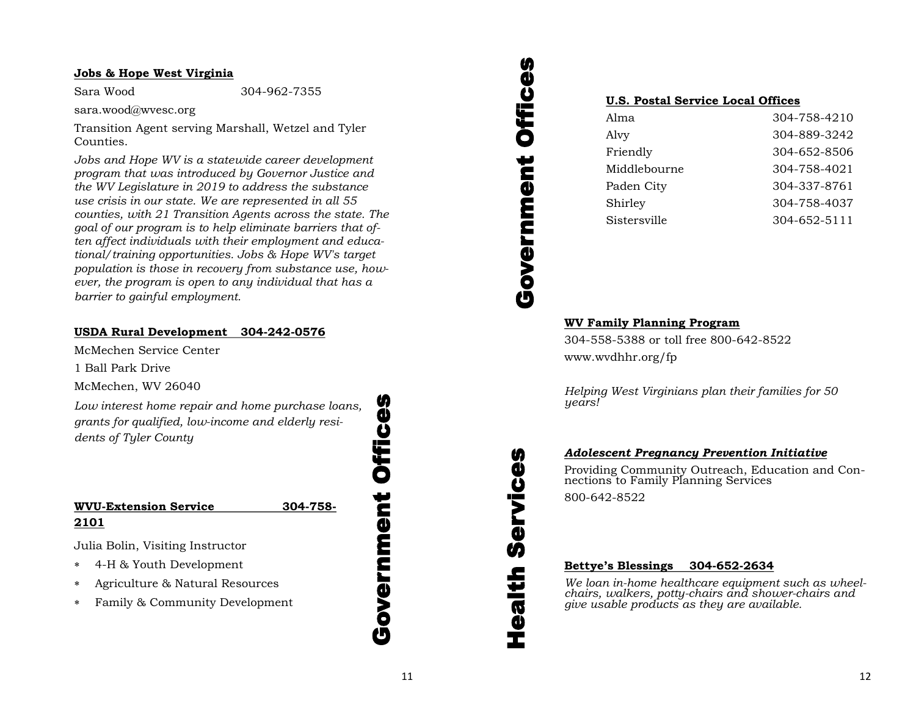## **Jobs & Hope West Virginia**

Sara Wood 304-962-7355

sara.wood@wvesc.org

Transition Agent serving Marshall, Wetzel and Tyler Counties.

*Jobs and Hope WV is a statewide career development program that was introduced by Governor Justice and the WV Legislature in 2019 to address the substance use crisis in our state. We are represented in all 55 counties, with 21 Transition Agents across the state. The goal of our program is to help eliminate barriers that often affect individuals with their employment and educational/training opportunities. Jobs & Hope WV's target population is those in recovery from substance use, however, the program is open to any individual that has a barrier to gainful employment.*

## **USDA Rural Development 304-242-0576**

McMechen Service Center

1 Ball Park Drive

McMechen, WV 26040

*Low interest home repair and home purchase loans, grants for qualified, low-income and elderly residents of Tyler County*

## **WVU-Extension Service 304-758- 2101**

Julia Bolin, Visiting Instructor

- 4-H & Youth Development
- Agriculture & Natural Resources
- Family & Community Development

Government Offices **Offices** Government

## Government Offices ffices D Government

Health Services

Ú)

ealth

**ikas** 

ŋ

## **U.S. Postal Service Local Offices**

| Alma         | 304-758-4210 |
|--------------|--------------|
| Alvy         | 304-889-3242 |
| Friendly     | 304-652-8506 |
| Middlebourne | 304-758-4021 |
| Paden City   | 304-337-8761 |
| Shirley      | 304-758-4037 |
| Sistersville | 304-652-5111 |

## **WV Family Planning Program**

304-558-5388 or toll free 800-642-8522 www.wvdhhr.org/fp

*Helping West Virginians plan their families for 50 years!*

## *Adolescent Pregnancy Prevention Initiative*

Providing Community Outreach, Education and Connections to Family Planning Services 800-642-8522

## **Bettye's Blessings 304-652-2634**

*We loan in-home healthcare equipment such as wheelchairs, walkers, potty-chairs and shower-chairs and give usable products as they are available.*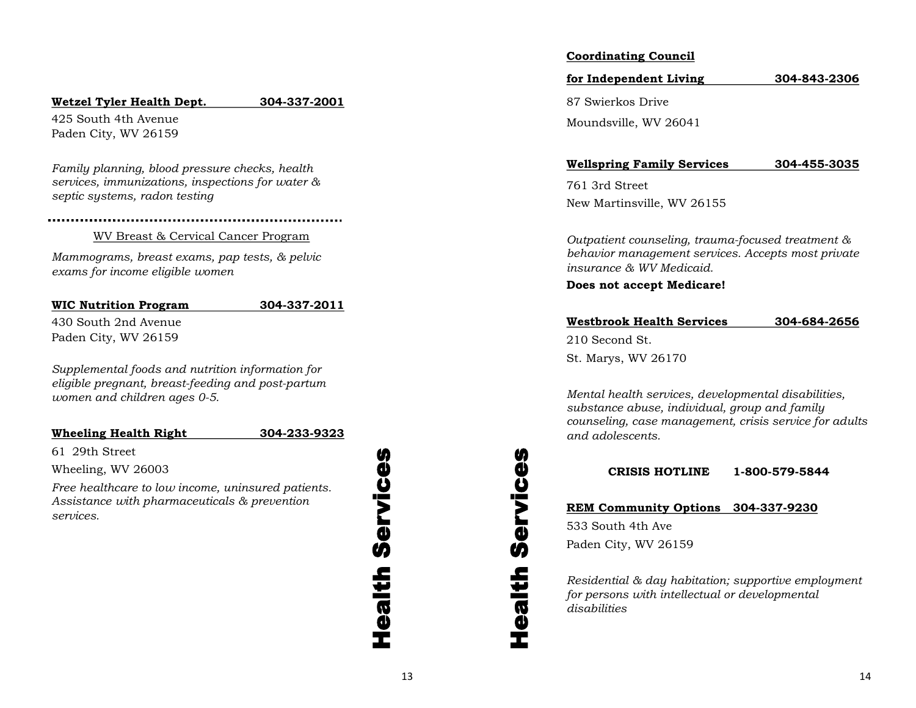## **Wetzel Tyler Health Dept. 304-337-2001**

425 South 4th Avenue Paden City, WV 26159

*Family planning, blood pressure checks, health services, immunizations, inspections for water & septic systems, radon testing*

## WV Breast & Cervical Cancer Program

*Mammograms, breast exams, pap tests, & pelvic exams for income eligible women*

## **WIC Nutrition Program 304-337-2011**

430 South 2nd Avenue Paden City, WV 26159

*Supplemental foods and nutrition information for eligible pregnant, breast-feeding and post-partum women and children ages 0-5.*

## **Wheeling Health Right 304-233-9323**

61 29th Street

Wheeling, WV 26003

*Free healthcare to low income, uninsured patients. Assistance with pharmaceuticals & prevention services.*

## Health Services Services dealth

## **Coordinating Council**

**for Independent Living 304-843-2306** 87 Swierkos Drive Moundsville, WV 26041

**Wellspring Family Services 304-455-3035**

761 3rd Street New Martinsville, WV 26155

*Outpatient counseling, trauma-focused treatment & behavior management services. Accepts most private insurance & WV Medicaid.*

**Does not accept Medicare!**

## **Westbrook Health Services 304-684-2656**

210 Second St.

St. Marys, WV 26170

*Mental health services, developmental disabilities, substance abuse, individual, group and family counseling, case management, crisis service for adults and adolescents.*

**CRISIS HOTLINE 1-800-579-5844**

## **REM Community Options 304-337-9230**

533 South 4th Ave Paden City, WV 26159

Health Services

dealth

**Services** 

*Residential & day habitation; supportive employment for persons with intellectual or developmental disabilities*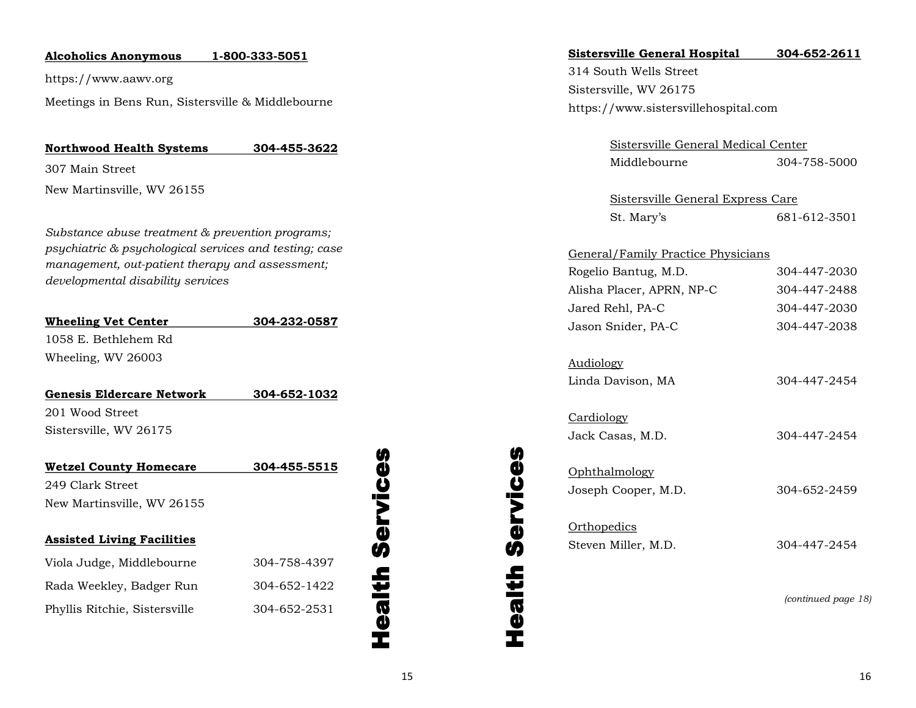## **Alcoholics Anonymous 1-800-333-5051**

https://www.aawv.org

Meetings in Bens Run, Sistersville & Middlebourne

## **Northwood Health Systems 304-455-3622**

307 Main Street

New Martinsville, WV 26155

*Substance abuse treatment & prevention programs; psychiatric & psychological services and testing; case management, out-patient therapy and assessment; developmental disability services*

| <b>Wheeling Vet Center</b> | 304-232-0587 |
|----------------------------|--------------|
| 1058 E. Bethlehem Rd       |              |
| Wheeling, WV 26003         |              |

| Genesis Eldercare Network | 304-652-1032 |
|---------------------------|--------------|
| 201 Wood Street           |              |
| Sistersville, WV 26175    |              |

| <b>Wetzel County Homecare</b>     | 304-455-5515 |
|-----------------------------------|--------------|
| 249 Clark Street                  |              |
| New Martinsville, WV 26155        |              |
|                                   |              |
| <b>Assisted Living Facilities</b> |              |
| Viola Judge, Middlebourne         | 304-758-4397 |
| Rada Weekley, Badger Run          | 304-652-1422 |
| Phyllis Ritchie, Sistersville     | 304-652-2531 |
|                                   |              |

## Health Services **Health Services**

| Sistersville General Hospital |  | 304-652-2611 |
|-------------------------------|--|--------------|
|                               |  |              |

314 South Wells Street Sistersville, WV 26175 https://www.sistersvillehospital.com

| Sistersville General Medical Center |              |
|-------------------------------------|--------------|
| Middlebourne                        | 304-758-5000 |

| Sistersville General Express Care |              |
|-----------------------------------|--------------|
| St. Mary's                        | 681-612-3501 |

| General/Family Practice Physicians |              |
|------------------------------------|--------------|
| Rogelio Bantug, M.D.               | 304-447-2030 |
| Alisha Placer, APRN, NP-C          | 304-447-2488 |
| Jared Rehl, PA-C                   | 304-447-2030 |
| Jason Snider, PA-C                 | 304-447-2038 |

| Audiology         |              |
|-------------------|--------------|
| Linda Davison, MA | 304-447-2454 |

| Cardiology          |              |
|---------------------|--------------|
| Jack Casas, M.D.    | 304-447-2454 |
|                     |              |
| Ophthalmology       |              |
| Joseph Cooper, M.D. | 304-652-2459 |
|                     |              |
| Orthopedics         |              |
| Steven Miller, M.D. | 304-447-2454 |

*(continued page 18)*

Health Services

**Health Services**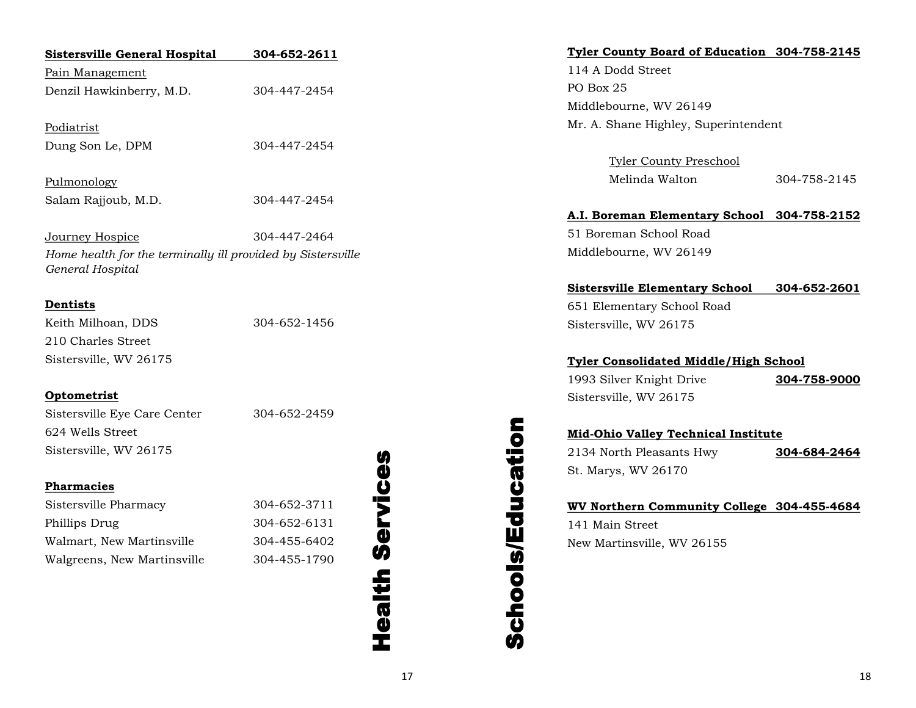| <b>Sistersville General Hospital</b>                                            | 304-652-2611             | Tyler County Board of Education 304-758-2145 |              |
|---------------------------------------------------------------------------------|--------------------------|----------------------------------------------|--------------|
| Pain Management                                                                 |                          | 114 A Dodd Street                            |              |
| Denzil Hawkinberry, M.D.                                                        | 304-447-2454             | PO Box 25                                    |              |
|                                                                                 |                          | Middlebourne, WV 26149                       |              |
| Podiatrist                                                                      |                          | Mr. A. Shane Highley, Superintendent         |              |
| Dung Son Le, DPM                                                                | 304-447-2454             |                                              |              |
|                                                                                 |                          | <b>Tyler County Preschool</b>                |              |
| Pulmonology                                                                     |                          | Melinda Walton                               | 304-758-2145 |
| Salam Rajjoub, M.D.                                                             | 304-447-2454             |                                              |              |
|                                                                                 |                          | A.I. Boreman Elementary School 304-758-2152  |              |
| Journey Hospice                                                                 | 304-447-2464             | 51 Boreman School Road                       |              |
| Home health for the terminally ill provided by Sistersville<br>General Hospital |                          | Middlebourne, WV 26149                       |              |
|                                                                                 |                          | <b>Sistersville Elementary School</b>        | 304-652-2601 |
| <b>Dentists</b>                                                                 |                          | 651 Elementary School Road                   |              |
| Keith Milhoan, DDS                                                              | 304-652-1456             | Sistersville, WV 26175                       |              |
| 210 Charles Street                                                              |                          |                                              |              |
| Sistersville, WV 26175                                                          |                          | <b>Tyler Consolidated Middle/High School</b> |              |
|                                                                                 |                          | 1993 Silver Knight Drive                     | 304-758-9000 |
| <b>Optometrist</b>                                                              |                          | Sistersville, WV 26175                       |              |
| Sistersville Eye Care Center                                                    | 304-652-2459             |                                              |              |
| 624 Wells Street                                                                |                          | <b>Mid-Ohio Valley Technical Institute</b>   |              |
| Sistersville, WV 26175                                                          | ŋ                        | 2134 North Pleasants Hwy                     | 304-684-2464 |
|                                                                                 | ¢                        | Educatio<br>St. Marys, WV 26170              |              |
| <b>Pharmacies</b>                                                               | Ŭ                        |                                              |              |
| Sistersville Pharmacy                                                           | j<br>304-652-3711        | WV Northern Community College 304-455-4684   |              |
| Phillips Drug                                                                   | 304-652-6131             | 141 Main Street                              |              |
| Walmart, New Martinsville                                                       | <u>ტ</u><br>304-455-6402 | New Martinsville, WV 26155                   |              |
| Walgreens, New Martinsville                                                     | 304-455-1790             |                                              |              |
|                                                                                 | Health                   | Schools                                      |              |
|                                                                                 |                          |                                              |              |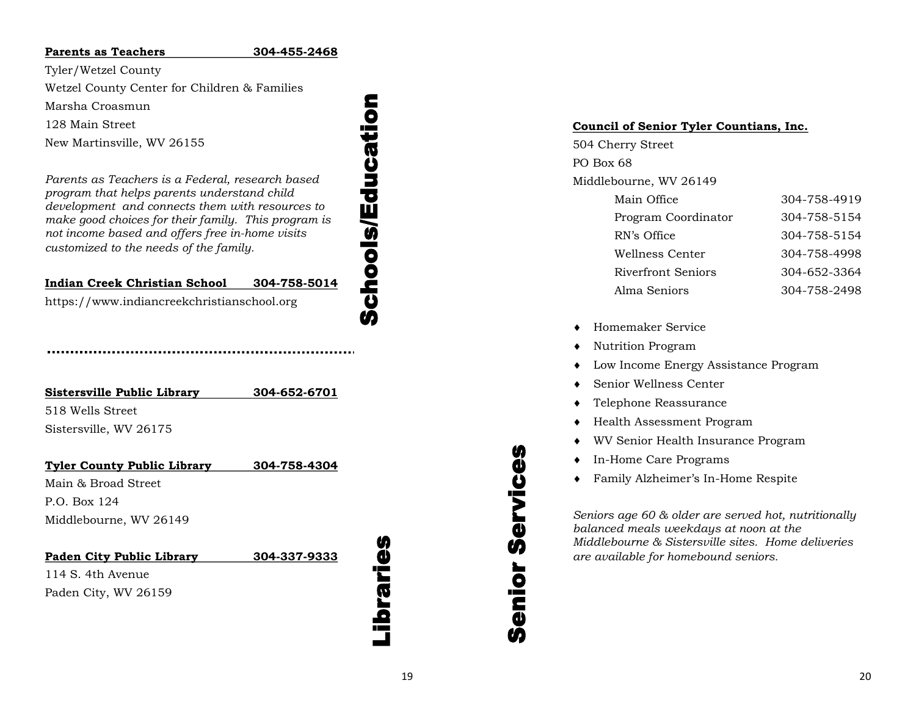## **Parents as Teachers**

Tyler/Wetzel County

Wetzel County Center for Children & Families

Marsha Croasmun

128 Main Street

New Martinsville, WV 26155

*Parents as Teachers is a Federal, research based program that helps parents understand child development and connects them with resources to make good choices for their family. This program is not income based and offers free in -home visits customized to the needs of the family.*

## **Indian Creek Christian School -758 -5014**

https://www.indiancreekchristianschool.org

## **Sistersville Public Library -652 -6701** 518 Wells Street Sistersville, WV 26175

**Tyler County Public Library 304 -758 -4304** Main & Broad Street P.O. Box 124 Middlebourne, WV 26149

| Paden City Public Library | 304-337-9333 |
|---------------------------|--------------|
| 114 S. 4th Avenue         |              |
| Paden City, WV 26159      |              |

# <u>م.</u><br>ت

Schools/Education

**Schools/Education** 

## **Council of Senior Tyler Countians, Inc.**

504 Cherry Street PO Box 68 Middlebourne, WV 26149

| Main Office               | 304-758-4919 |
|---------------------------|--------------|
| Program Coordinator       | 304-758-5154 |
| RN's Office               | 304-758-5154 |
| Wellness Center           | 304-758-4998 |
| <b>Riverfront Seniors</b> | 304-652-3364 |
| Alma Seniors              | 304-758-2498 |

- Homemaker Service
- Nutrition Program
- Low Income Energy Assistance Program
- Senior Wellness Center
- Telephone Reassurance
- Health Assessment Program
- WV Senior Health Insurance Program
- In-Home Care Programs
- Family Alzheimer's In-Home Respite

*Seniors age 60 & older are served hot, nutritionally balanced meals weekdays at noon at the Middlebourne & Sistersville sites. Home deliveries are available for homebound seniors.*

Senior Services

enior Servic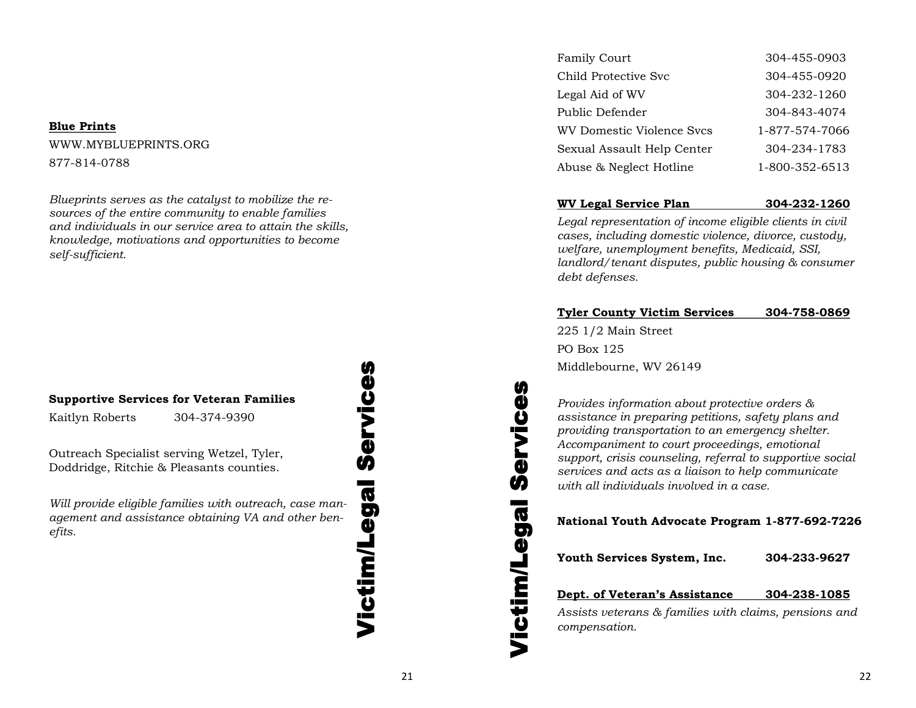## **Blue Prints**

WWW.MYBLUEPRINTS.ORG 877-814-0788

*Blueprints serves as the catalyst to mobilize the resources of the entire community to enable families and individuals in our service area to attain the skills, knowledge, motivations and opportunities to become self-sufficient.* 

## **Supportive Services for Veteran Families**

Kaitlyn Roberts 304-374-9390

Outreach Specialist serving Wetzel, Tyler, Doddridge, Ritchie & Pleasants counties.

*Will provide eligible families with outreach, case management and assistance obtaining VA and other benefits.*

## Victim/Legal Services Services **Victim/Legal**

| Family Court                     | 304-455-0903   |
|----------------------------------|----------------|
| Child Protective Svc             | 304-455-0920   |
| Legal Aid of WV                  | 304-232-1260   |
| Public Defender                  | 304-843-4074   |
| <b>WV Domestic Violence Svcs</b> | 1-877-574-7066 |
| Sexual Assault Help Center       | 304-234-1783   |
| Abuse & Neglect Hotline          | 1-800-352-6513 |

## **WV Legal Service Plan 304-232-1260**

*Legal representation of income eligible clients in civil cases, including domestic violence, divorce, custody, welfare, unemployment benefits, Medicaid, SSI, landlord/tenant disputes, public housing & consumer debt defenses.*

## **Tyler County Victim Services 304-758-0869**

225 1/2 Main Street PO Box 125 Middlebourne, WV 26149

Victim/Legal Services

**Victim/Legal** 

ŋ

ervice

Ŵ

*Provides information about protective orders & assistance in preparing petitions, safety plans and providing transportation to an emergency shelter. Accompaniment to court proceedings, emotional support, crisis counseling, referral to supportive social services and acts as a liaison to help communicate with all individuals involved in a case.*

**National Youth Advocate Program 1-877-692-7226**

**Youth Services System, Inc. 304-233-9627**

## **Dept. of Veteran's Assistance 304-238-1085**

*Assists veterans & families with claims, pensions and compensation.*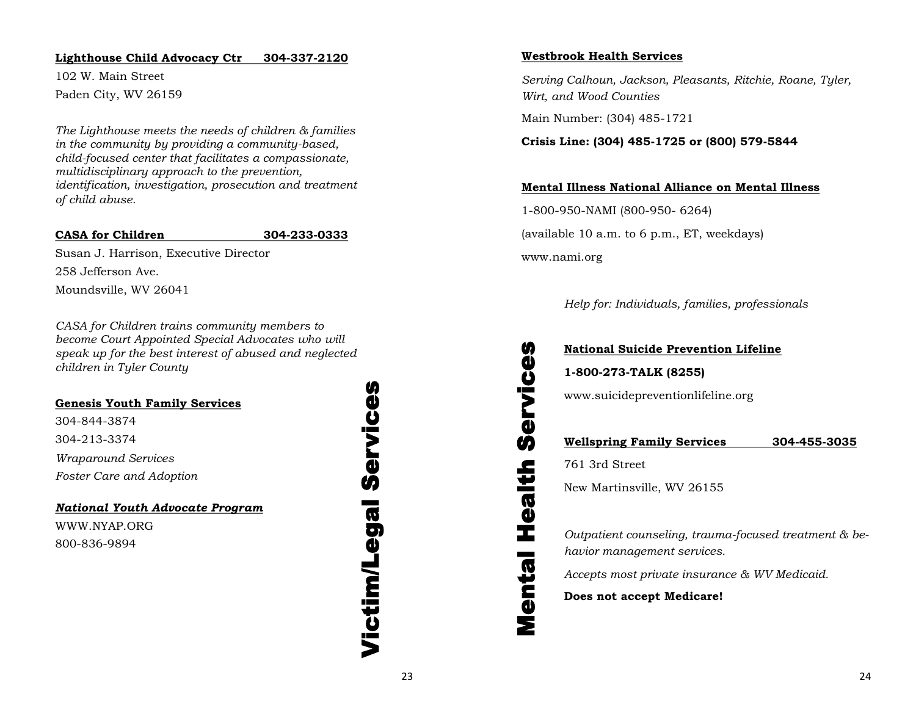## **Lighthouse Child Advocacy Ctr 304-337-2120**

102 W. Main Street Paden City, WV 26159

*The Lighthouse meets the needs of children & families in the community by providing a community-based, child-focused center that facilitates a compassionate, multidisciplinary approach to the prevention, identification, investigation, prosecution and treatment of child abuse.*

## **CASA for Children 304-233-0333**

Susan J. Harrison, Executive Director 258 Jefferson Ave. Moundsville, WV 26041

*CASA for Children trains community members to become Court Appointed Special Advocates who will speak up for the best interest of abused and neglected children in Tyler County* 

## **Genesis Youth Family Services**

304-844-3874 304-213-3374 *Wraparound Services Foster Care and Adoption*

*National Youth Advocate Program*

WWW.NYAP.ORG 800-836-9894

Victim/Legal Services Service Victim/Legal

## **Westbrook Health Services**

*Serving Calhoun, Jackson, Pleasants, Ritchie, Roane, Tyler, Wirt, and Wood Counties*

Main Number: (304) 485-1721

## **Crisis Line: (304) 485-1725 or (800) 579-5844**

## **Mental Illness National Alliance on Mental Illness**

1-800-950-NAMI (800-950- 6264) (available 10 a.m. to 6 p.m., ET, weekdays) www.nami.org

*Help for: Individuals, families, professionals* 

## **National Suicide Prevention Lifeline**

**1-800-273-TALK (8255)** 

www.suicidepreventionlifeline.org

## **Wellspring Family Services 304-455-3035**

761 3rd Street

Mental Health Services

Health

Mental

ŋ

Service

New Martinsville, WV 26155

*Outpatient counseling, trauma-focused treatment & behavior management services.* 

*Accepts most private insurance & WV Medicaid.*

**Does not accept Medicare!**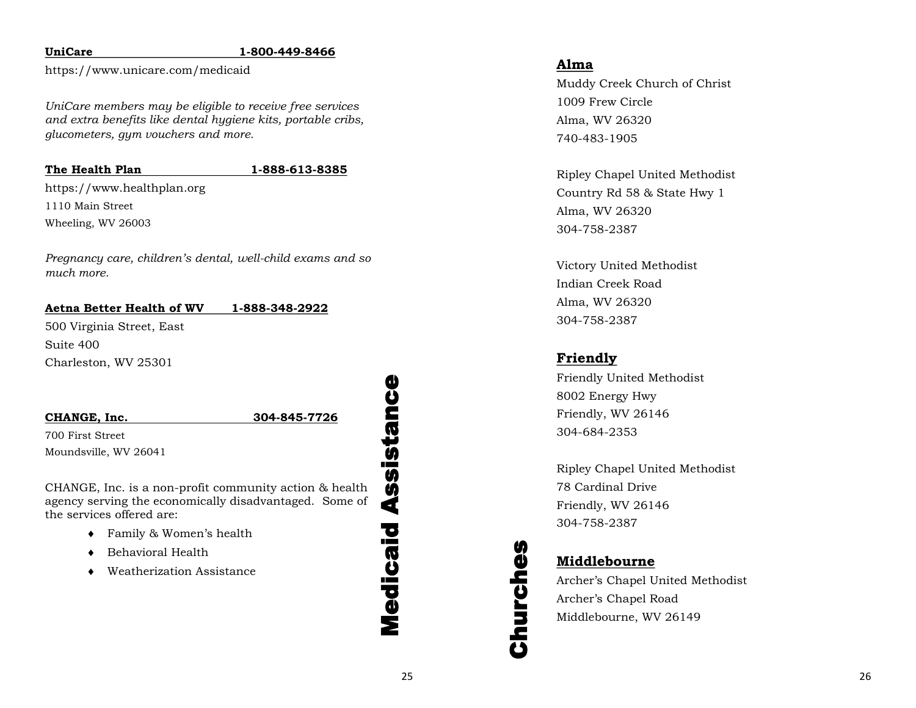## **UniCare**

## **1 -800 -449 -8466**

https://www.unicare.com/medicaid

*UniCare members may be eligible to receive free services and extra benefits like dental hygiene kits, portable cribs, glucometers, gym vouchers and more.*

## **The Health Plan**

## **1 -888 -613 -8385**

https://www.healthplan.org 1110 Main Street Wheeling, WV 26003

*Pregnancy care, children's dental, well -child exams and so much more.*

## **Aetna Better Health of WV 1 -888 -348 -2922**

500 Virginia Street, East Suite 400 Charleston, WV 25301

**CHANGE, Inc. 304**

**-845 -7726**

700 First Street Moundsville, WV 26041

CHANGE, Inc. is a non -profit community action & health agency serving the economically disadvantaged. Some of the services offered are:

- Family & Women's health
- Behavioral Health
- Weatherization Assistance

Medicaid Assistance Assistance Medicaid

## **Alma**

Muddy Creek Church of Christ 1009 Frew Circle Alma, WV 26320 740 -483 -1905

Ripley Chapel United Methodist Country Rd 58 & State Hwy 1 Alma, WV 26320 304 -758 -2387

Victory United Methodist Indian Creek Road Alma, WV 26320 304 -758 -2387

## **Friendly**

Friendly United Methodist 8002 Energy Hwy Friendly, WV 26146 304 -684 -2353

Ripley Chapel United Methodist 78 Cardinal Drive Friendly, WV 26146 304 -758 -2387

## **Middlebourne**

Churches

Churches

Archer's Chapel United Methodist Archer's Chapel Road Middlebourne, WV 26149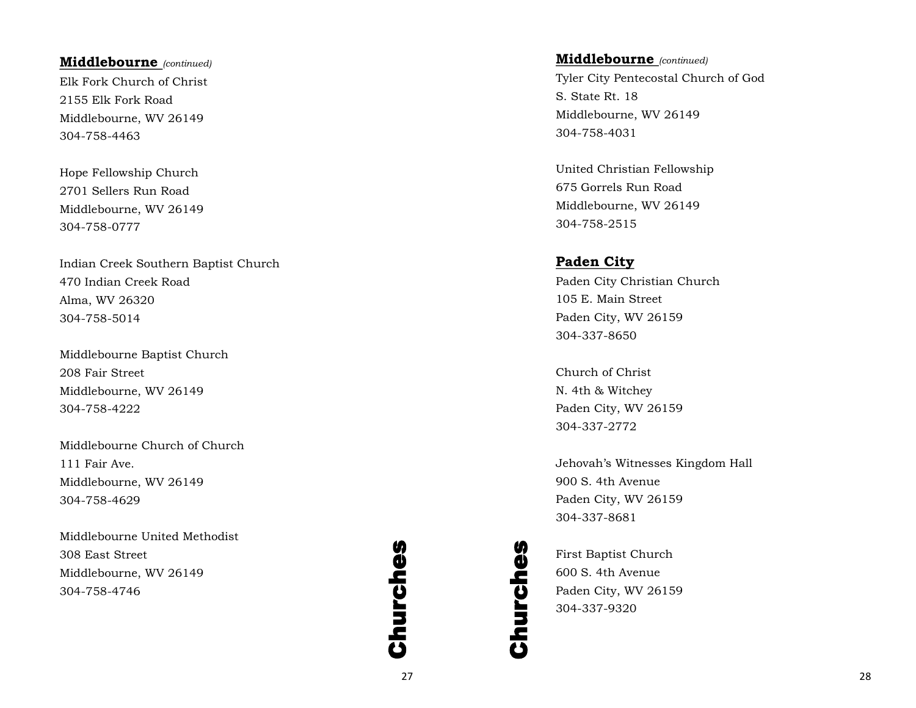## **Middlebourne** *(continued)*

Elk Fork Church of Christ 2155 Elk Fork Road Middlebourne, WV 26149 304 -758 -4463

Hope Fellowship Church 2701 Sellers Run Road Middlebourne, WV 26149 304 -758 -0777

Indian Creek Southern Baptist Church 470 Indian Creek Road Alma, WV 26320 304 -758 -5014

Middlebourne Baptist Church 208 Fair Street Middlebourne, WV 26149 304 -758 -4222

Middlebourne Church of Church 111 Fair Ave. Middlebourne, WV 26149 304 -758 -4629

Middlebourne United Methodist 308 East Street Middlebourne, WV 26149 304 -758 -4746

## **Churches** Churches

## **Middlebourne** *(continued)*

Tyler City Pentecostal Church of God S. State Rt. 18 Middlebourne, WV 26149 304 -758 -4031

United Christian Fellowship 675 Gorrels Run Road Middlebourne, WV 26149 304 -758 -2515

## **Paden City**

Paden City Christian Church 105 E. Main Street Paden City, WV 26159 304 -337 -8650

Church of Christ N. 4th & Witchey Paden City, WV 26159 304 -337 -2772

Jehovah's Witnesses Kingdom Hall 900 S. 4th Avenue Paden City, WV 26159 304 -337 -8681

First Baptist Church 600 S. 4th Avenue Paden City, WV 26159 304 -337 -9320

Churches

Churches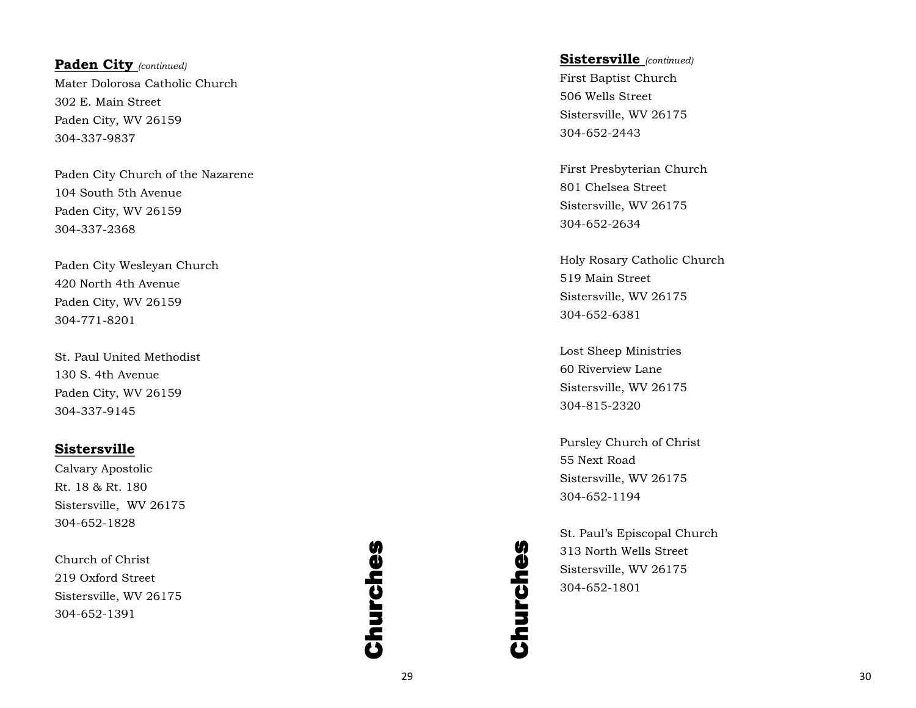**Paden City** *(continued)* Mater Dolorosa Catholic Church 302 E. Main Street Paden City, WV 26159 304 -337 -9837

Paden City Church of the Nazarene 104 South 5th Avenue Paden City, WV 26159 304 -337 -2368

Paden City Wesleyan Church 420 North 4th Avenue Paden City, WV 26159 304 -771 -8201

St. Paul United Methodist 130 S. 4th Avenue Paden City, WV 26159 304 -337 -9145

## **Sistersville**

Calvary Apostolic Rt. 18 & Rt. 180 Sistersville, WV 26175 304 -652 -1828

Church of Christ 219 Oxford Street Sistersville, WV 26175 304 -652 -1391

## Churches Churches

**Sistersville** *(continued)*

First Baptist Church 506 Wells Street Sistersville, WV 26175 304 -652 -2443

First Presbyterian Church 801 Chelsea Street Sistersville, WV 26175 304 -652 -2634

Holy Rosary Catholic Church 519 Main Street Sistersville, WV 26175 304 -652 -6381

Lost Sheep Ministries 60 Riverview Lane Sistersville, WV 26175 304 -815 -2320

Pursley Church of Christ 55 Next Road Sistersville, WV 26175 304 -652 -1194

St. Paul's Episcopal Church 313 North Wells Street Sistersville, WV 26175 304 -652 -1801

Churches

Churches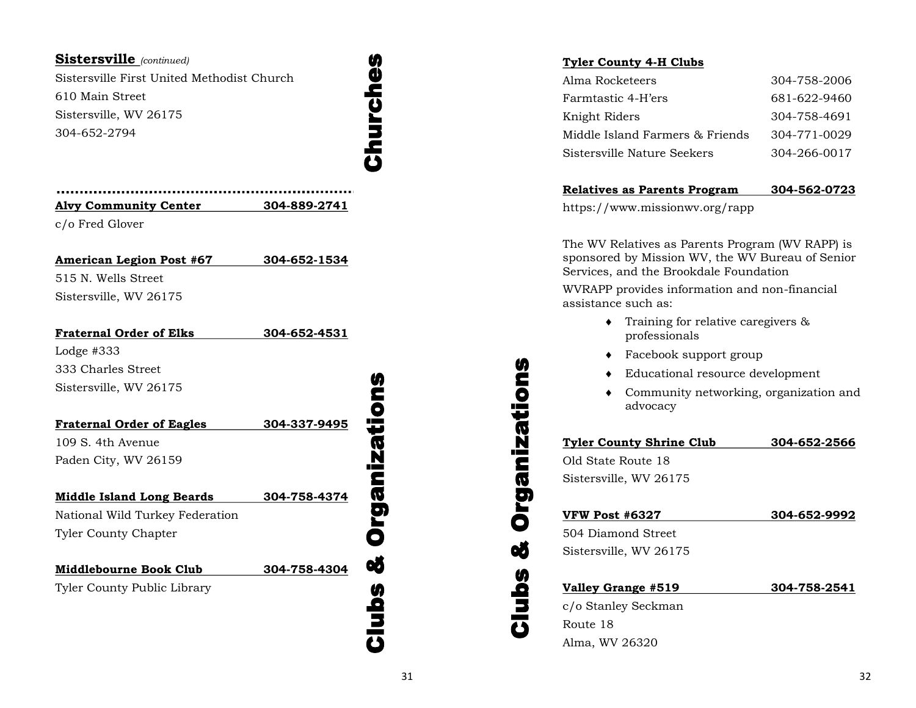## **Sistersville** *(continued)*

Sistersville First United Methodist Church 610 Main Street Sistersville, WV 26175 304-652-2794

Churches Churches

| <b>Alvy Community Center</b> | 304-889-2741 |
|------------------------------|--------------|
| c/o Fred Glover              |              |

**American Legion Post #67 304-652-1534** 515 N. Wells Street

Sistersville, WV 26175

| 304-652-4531 |
|--------------|
|              |
|              |
|              |
|              |
| 304-337-9495 |
|              |
|              |
|              |
| 304-758-4374 |
|              |
|              |

Tyler County Chapter

**Middlebourne Book Club 304-758-4304**

Tyler County Public Library

## Clubs & Organizations **Organizations** œ **Clubs**

## **Tyler County 4-H Clubs**

| Alma Rocketeers                 | 304-758-2006 |
|---------------------------------|--------------|
| Farmtastic 4-H'ers              | 681-622-9460 |
| Knight Riders                   | 304-758-4691 |
| Middle Island Farmers & Friends | 304-771-0029 |
| Sistersville Nature Seekers     | 304-266-0017 |

## **Relatives as Parents Program 304-562-0723**

https://www.missionwv.org/rapp

The WV Relatives as Parents Program (WV RAPP) is sponsored by Mission WV, the WV Bureau of Senior Services, and the Brookdale Foundation

WVRAPP provides information and non-financial assistance such as:

- Training for relative caregivers & professionals
- ◆ Facebook support group
- Educational resource development
- Community networking, organization and advocacy

## **Tyler County Shrine Club 304-652-2566**

Old State Route 18 Sistersville, WV 26175

Clubs & Organizations

ø

**Clubs** 

**Organizations** 

| <b>VFW Post #6327</b>  | 304-652-9992 |
|------------------------|--------------|
| 504 Diamond Street     |              |
| Sistersville, WV 26175 |              |
|                        |              |
| Valley Grange #519     | 304-758-2541 |

c/o Stanley Seckman Route 18 Alma, WV 26320